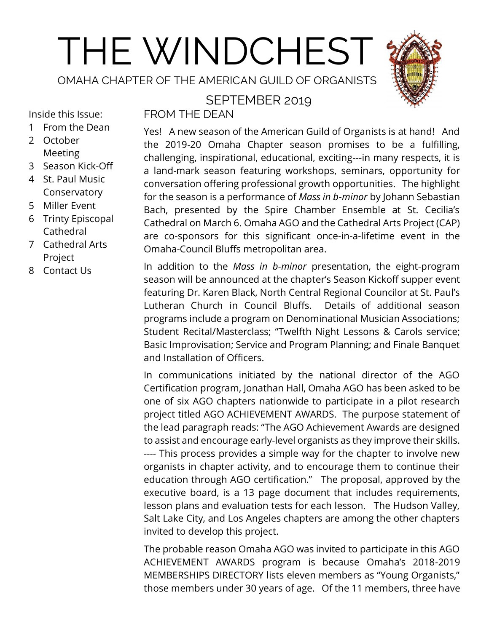# THE WINDCHEST

OMAHA CHAPTER OF THE AMERICAN GUILD OF ORGANISTS

# SEPTEMBER 2019



Inside this Issue:

- 1 From the Dean
- 2 October Meeting
- 3 Season Kick-Off
- 4 St. Paul Music Conservatory
- 5 Miller Event
- 6 Trinty Episcopal Cathedral
- 7 Cathedral Arts Project
- 8 Contact Us

FROM THE DEAN

Yes! A new season of the American Guild of Organists is at hand! And the 2019-20 Omaha Chapter season promises to be a fulfilling, challenging, inspirational, educational, exciting---in many respects, it is a land-mark season featuring workshops, seminars, opportunity for conversation offering professional growth opportunities. The highlight for the season is a performance of *Mass in b-minor* by Johann Sebastian Bach, presented by the Spire Chamber Ensemble at St. Cecilia's Cathedral on March 6. Omaha AGO and the Cathedral Arts Project (CAP) are co-sponsors for this significant once-in-a-lifetime event in the Omaha-Council Bluffs metropolitan area.

In addition to the *Mass in b-minor* presentation, the eight-program season will be announced at the chapter's Season Kickoff supper event featuring Dr. Karen Black, North Central Regional Councilor at St. Paul's Lutheran Church in Council Bluffs. Details of additional season programs include a program on Denominational Musician Associations; Student Recital/Masterclass; "Twelfth Night Lessons & Carols service; Basic Improvisation; Service and Program Planning; and Finale Banquet and Installation of Officers.

In communications initiated by the national director of the AGO Certification program, Jonathan Hall, Omaha AGO has been asked to be one of six AGO chapters nationwide to participate in a pilot research project titled AGO ACHIEVEMENT AWARDS. The purpose statement of the lead paragraph reads: "The AGO Achievement Awards are designed to assist and encourage early-level organists as they improve their skills. ---- This process provides a simple way for the chapter to involve new organists in chapter activity, and to encourage them to continue their education through AGO certification." The proposal, approved by the executive board, is a 13 page document that includes requirements, lesson plans and evaluation tests for each lesson. The Hudson Valley, Salt Lake City, and Los Angeles chapters are among the other chapters invited to develop this project.

The probable reason Omaha AGO was invited to participate in this AGO ACHIEVEMENT AWARDS program is because Omaha's 2018-2019 MEMBERSHIPS DIRECTORY lists eleven members as "Young Organists," those members under 30 years of age. Of the 11 members, three have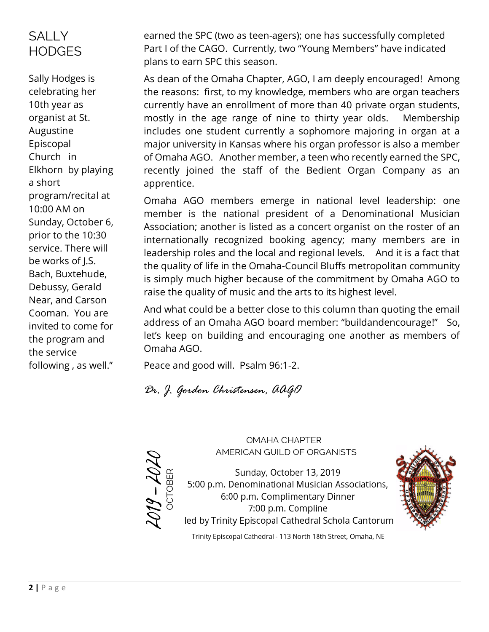# **SALLY HODGES**

Sally Hodges is celebrating her 10th year as organist at St. Augustine Episcopal Church in Elkhorn by playing a short program/recital at 10:00 AM on Sunday, October 6, prior to the 10:30 service. There will be works of J.S. Bach, Buxtehude, Debussy, Gerald Near, and Carson Cooman. You are invited to come for the program and the service following , as well."

earned the SPC (two as teen-agers); one has successfully completed Part I of the CAGO. Currently, two "Young Members" have indicated plans to earn SPC this season.

As dean of the Omaha Chapter, AGO, I am deeply encouraged! Among the reasons: first, to my knowledge, members who are organ teachers currently have an enrollment of more than 40 private organ students, mostly in the age range of nine to thirty year olds. Membership includes one student currently a sophomore majoring in organ at a major university in Kansas where his organ professor is also a member of Omaha AGO. Another member, a teen who recently earned the SPC, recently joined the staff of the Bedient Organ Company as an apprentice.

Omaha AGO members emerge in national level leadership: one member is the national president of a Denominational Musician Association; another is listed as a concert organist on the roster of an internationally recognized booking agency; many members are in leadership roles and the local and regional levels. And it is a fact that the quality of life in the Omaha-Council Bluffs metropolitan community is simply much higher because of the commitment by Omaha AGO to raise the quality of music and the arts to its highest level.

And what could be a better close to this column than quoting the email address of an Omaha AGO board member: "buildandencourage!" So, let's keep on building and encouraging one another as members of Omaha AGO.

Peace and good will. Psalm 96:1-2.

*Dr. J. Gordon Christensen, AAGO*

 $2019 - 2020$ 

**OMAHA CHAPTER** AMERICAN GUILD OF ORGANISTS

Sunday, October 13, 2019 5:00 p.m. Denominational Musician Associations, 6:00 p.m. Complimentary Dinner 7:00 p.m. Compline led by Trinity Episcopal Cathedral Schola Cantorum



Trinity Episcopal Cathedral - 113 North 18th Street, Omaha, NE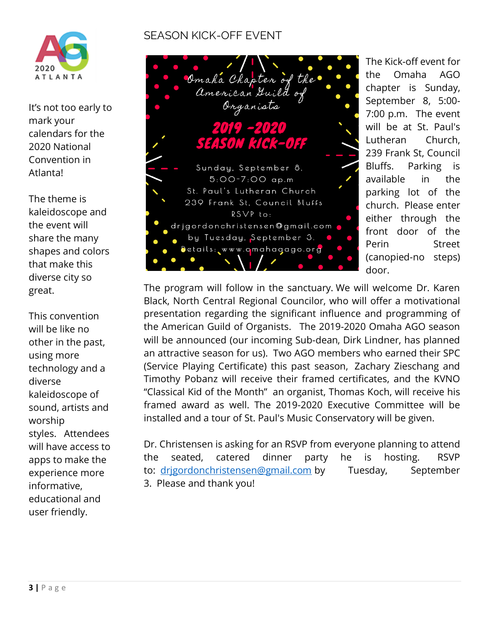

It's not too early to mark your calendars for the 2020 National Convention in Atlanta!

The theme is kaleidoscope and the event will share the many shapes and colors that make this diverse city so great.

This convention will be like no other in the past, using more technology and a diverse kaleidoscope of sound, artists and worship styles. Attendees will have access to apps to make the experience more informative, educational and user friendly.

# SEASON KICK-OFF EVENT



The Kick-off event for the Omaha AGO chapter is Sunday, September 8, 5:00- 7:00 p.m. The event will be at St. Paul's Lutheran Church, 239 Frank St, Council Bluffs. Parking is available in the parking lot of the church. Please enter either through the front door of the Perin Street (canopied-no steps) door.

The program will follow in the sanctuary. We will welcome Dr. Karen Black, North Central Regional Councilor, who will offer a motivational presentation regarding the significant influence and programming of the American Guild of Organists. The 2019-2020 Omaha AGO season will be announced (our incoming Sub-dean, Dirk Lindner, has planned an attractive season for us). Two AGO members who earned their SPC (Service Playing Certificate) this past season, Zachary Zieschang and Timothy Pobanz will receive their framed certificates, and the KVNO "Classical Kid of the Month" an organist, Thomas Koch, will receive his framed award as well. The 2019-2020 Executive Committee will be installed and a tour of St. Paul's Music Conservatory will be given.

Dr. Christensen is asking for an RSVP from everyone planning to attend the seated, catered dinner party he is hosting. RSVP to: drigordonchristensen@gmail.com by Tuesday, September 3. Please and thank you!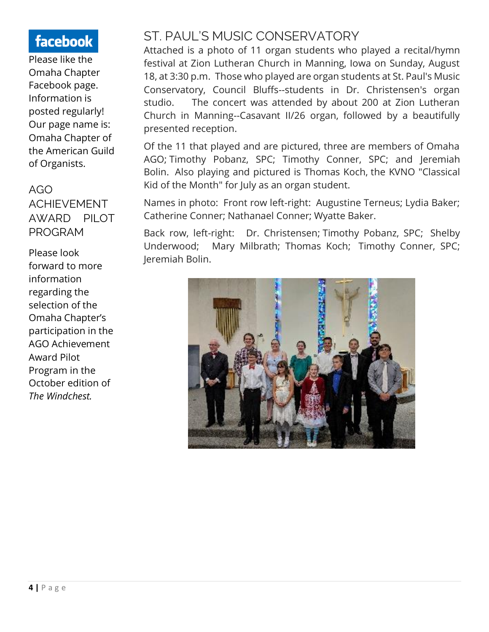# facebook

Please like the Omaha Chapter Facebook page. Information is posted regularly! Our page name is: Omaha Chapter of the American Guild of Organists.

# AGO ACHIEVEMENT AWARD PILOT PROGRAM

Please look forward to more information regarding the selection of the Omaha Chapter's participation in the AGO Achievement Award Pilot Program in the October edition of *The Windchest.* 

# ST. PAUL'S MUSIC CONSERVATORY

Attached is a photo of 11 organ students who played a recital/hymn festival at Zion Lutheran Church in Manning, Iowa on Sunday, August 18, at 3:30 p.m. Those who played are organ students at St. Paul's Music Conservatory, Council Bluffs--students in Dr. Christensen's organ studio. The concert was attended by about 200 at Zion Lutheran Church in Manning--Casavant II/26 organ, followed by a beautifully presented reception.

Of the 11 that played and are pictured, three are members of Omaha AGO; Timothy Pobanz, SPC; Timothy Conner, SPC; and Jeremiah Bolin. Also playing and pictured is Thomas Koch, the KVNO "Classical Kid of the Month" for July as an organ student.

Names in photo: Front row left-right: Augustine Terneus; Lydia Baker; Catherine Conner; Nathanael Conner; Wyatte Baker.

Back row, left-right: Dr. Christensen; Timothy Pobanz, SPC; Shelby Underwood; Mary Milbrath; Thomas Koch; Timothy Conner, SPC; Jeremiah Bolin.

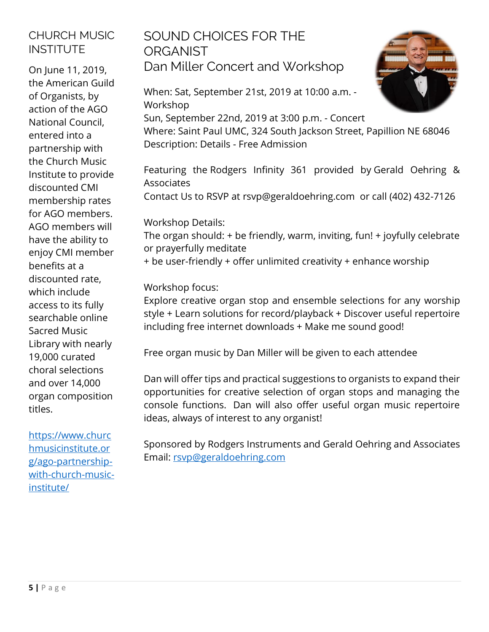# CHURCH MUSIC INSTITUTE

On June 11, 2019, the [American Guild](http://r20.rs6.net/tn.jsp?f=001lxmcxFm_c8q1VHwkxK18I3UkQOPTWW-lYg1t3EfhcKRzX6o9NueIxs7XNJelVWXAvZ0_7JfyGyO54FHMQtcmXtJQ32xG53vFQLukNmdqKeVrZSR5yqJhzKHumtp9tO2yr3982CpAocw=&c=Vkat1B1TUXOgCZbUEaycwJ1lLA-6GKqB1EnNcJa17vnedRCMPqJ8mg==&ch=-O0ZzBHNxH_mjoFVQpO42kzUdavb_oAY3WoCyyMmdvChhWGAAGZX0Q==)  [of Organists,](http://r20.rs6.net/tn.jsp?f=001lxmcxFm_c8q1VHwkxK18I3UkQOPTWW-lYg1t3EfhcKRzX6o9NueIxs7XNJelVWXAvZ0_7JfyGyO54FHMQtcmXtJQ32xG53vFQLukNmdqKeVrZSR5yqJhzKHumtp9tO2yr3982CpAocw=&c=Vkat1B1TUXOgCZbUEaycwJ1lLA-6GKqB1EnNcJa17vnedRCMPqJ8mg==&ch=-O0ZzBHNxH_mjoFVQpO42kzUdavb_oAY3WoCyyMmdvChhWGAAGZX0Q==) by action of the AGO National Council, entered into a partnership with the Church Music Institute to provide discounted CMI membership rates for AGO members. AGO members will have the ability to enjoy CMI member benefits at a discounted rate, which include access to its fully searchable online Sacred Music Library with nearly 19,000 curated choral selections and over 14,000 organ composition titles.

[https://www.churc](https://www.churchmusicinstitute.org/ago-partnership-with-church-music-institute/) [hmusicinstitute.or](https://www.churchmusicinstitute.org/ago-partnership-with-church-music-institute/) [g/ago-partnership](https://www.churchmusicinstitute.org/ago-partnership-with-church-music-institute/)[with-church-music](https://www.churchmusicinstitute.org/ago-partnership-with-church-music-institute/)[institute/](https://www.churchmusicinstitute.org/ago-partnership-with-church-music-institute/)

# SOUND CHOICES FOR THE **ORGANIST** Dan Miller Concert and Workshop

When: Sat, September 21st, 2019 at 10:00 a.m. - Workshop Sun, September 22nd, 2019 at 3:00 p.m. - Concert Where: Saint Paul UMC, 324 South Jackson Street, Papillion NE 68046 Description: Details - Free Admission

Featuring the [Rodgers Infinity 361](http://link.rm0004.net/go/DXo6ktrauSQ3QszosMcfuw2/) provided by [Gerald Oehring &](http://link.rm0004.net/go/DXo6ktufKDndWsp_zUHa5g2/)  [Associates](http://link.rm0004.net/go/DXo6ktufKDndWsp_zUHa5g2/)

Contact Us to RSVP at rsvp@geraldoehring.com or call (402) 432-7126

Workshop Details:

The organ should: + be friendly, warm, inviting, fun! + joyfully celebrate or prayerfully meditate

+ be user-friendly + offer unlimited creativity + enhance worship

Workshop focus:

Explore creative organ stop and ensemble selections for any worship style + Learn solutions for record/playback + Discover useful repertoire including free internet downloads + Make me sound good!

Free organ music by Dan Miller will be given to each attendee

Dan will offer tips and practical suggestions to organists to expand their opportunities for creative selection of organ stops and managing the console functions. Dan will also offer useful organ music repertoire ideas, always of interest to any organist!

Sponsored by Rodgers Instruments and Gerald Oehring and Associates Email: [rsvp@geraldoehring.com](mailto:rsvp@geraldoehring.com)

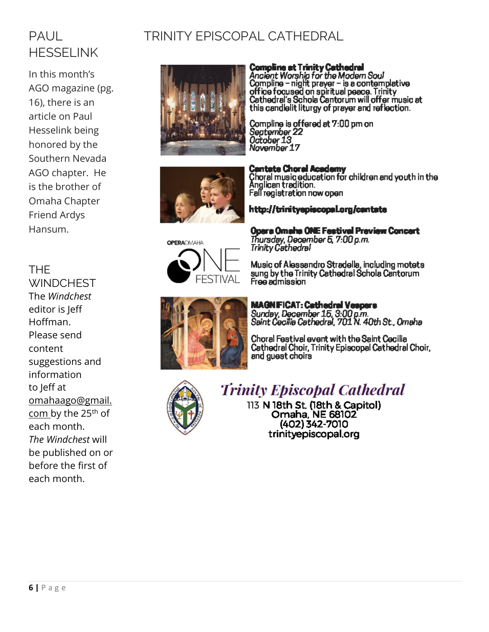# PAUL HESSELINK

In this month's AGO magazine (pg. 16), there is an article on Paul Hesselink being honored by the Southern Nevada AGO chapter. He is the brother of Omaha Chapter Friend Ardys Hansum.

### THE

**WINDCHEST** The *Windchest* editor is Jeff Hoffman. Please send content suggestions and information to Jeff at [omahaago@gmail.](mailto:omahaago@gmail.com) [com](mailto:omahaago@gmail.com) by the 25<sup>th</sup> of each month. *The Windchest* will be published on or before the first of each month.

# TRINITY EPISCOPAL CATHEDRAL



**Compline at Trinity Cathedral**<br>Ancient Worship for the Modern Soul<br>Compline – night prayer – is a contemplative<br>office focused on spiritual peace. Trinity<br>Cathedral's Schola Cantorum will offer music at this candlelit liturgy of prayer and reflection.

Compline is offered at 7:00 pm on<br>September 22<br>October 13<br>November 17



Fall registration now open http://trinityepiscopaLorg/cantate



Opera Omaha ONE Festival Preview Concert Thursday, December 5, 7:00 p.m.<br>Trinity Cathedral

Music of Alessandro Stradella, including motets Music or Alessandro Stradella, including moters<br>sung by the Trinity Cathedral Schola Cantorum<br>Free admission



**MAGNEICAT: Cathedral Vespers** Sunday, December 15, 3:00 p.m.<br>Saint Cecilia Cathedral, 701 N. 40th St., Omaha

Choral Festival event with the Saint Cecilia Cathedral Choir, Trinity Episcopal Cathedral Choir, and guest choirs



# **Trinity Episcopal Cathedral**

113 N 18th St. (18th & Capitol) Omaha, NE 68102 (402) 342-7010 trinityepiscopal.org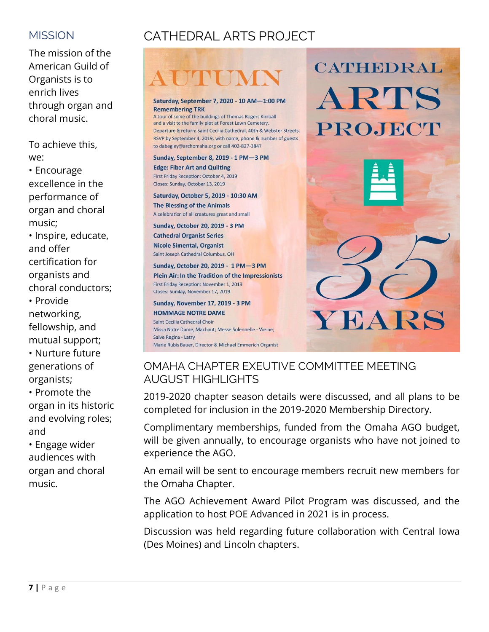## **MISSION**

The mission of the American Guild of Organists is to enrich lives through organ and choral music.

To achieve this, we:

• Encourage excellence in the performance of organ and choral music;

• Inspire, educate, and offer certification for organists and choral conductors;

• Provide networking, fellowship, and mutual support; • Nurture future generations of organists;

• Promote the organ in its historic and evolving roles; and

• Engage wider audiences with organ and choral music.

# CATHEDRAL ARTS PROJECT

#### Saturday, September 7, 2020 - 10 AM-1:00 PM **Remembering TRK**

A tour of some of the buildings of Thomas Rogers Kimball and a visit to the family plot at Forest Lawn Cemetery. Departure & return: Saint Cecilia Cathedral, 40th & Webster Streets. RSVP by September 4, 2019, with name, phone & number of guests to dabegley@archomaha.org or call 402-827-3847

#### Sunday, September 8, 2019 - 1 PM-3 PM **Edge: Fiber Art and Quilting** First Friday Reception: October 4, 2019 Closes: Sunday, October 13, 2019

Saturday, October 5, 2019 - 10:30 AM The Blessing of the Animals A celebration of all creatures great and small

#### **Sunday, October 20, 2019 - 3 PM Cathedral Organist Series Nicole Simental, Organist**

Saint Joseph Cathedral Columbus, OH

Sunday, October 20, 2019 - 1 PM-3 PM Plein Air: In the Tradition of the Impressionists First Friday Reception: November 1, 2019 Closes: Sunday, November 17, 2019

Sunday, November 17, 2019 - 3 PM **HOMMAGE NOTRE DAME** Saint Cecilia Cathedral Choir Missa Notre Dame, Machaut: Messe Solennelle - Vierne: Salve Regina - Latry Marie Rubis Bauer, Director & Michael Emmerich Organist



CATHEDRAL

# OMAHA CHAPTER EXEUTIVE COMMITTEE MEETING AUGUST HIGHLIGHTS

2019-2020 chapter season details were discussed, and all plans to be completed for inclusion in the 2019-2020 Membership Directory.

Complimentary memberships, funded from the Omaha AGO budget, will be given annually, to encourage organists who have not joined to experience the AGO.

An email will be sent to encourage members recruit new members for the Omaha Chapter.

The AGO Achievement Award Pilot Program was discussed, and the application to host POE Advanced in 2021 is in process.

Discussion was held regarding future collaboration with Central Iowa (Des Moines) and Lincoln chapters.